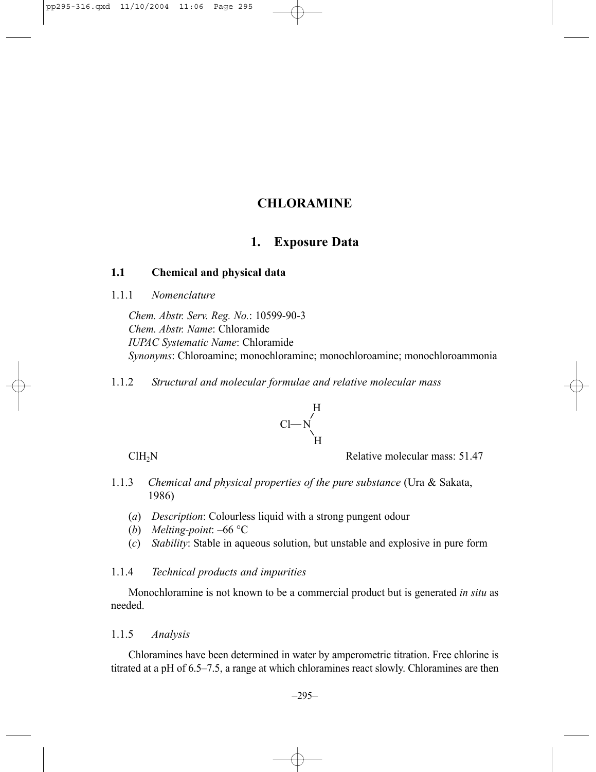# **1. Exposure Data**

# **1.1 Chemical and physical data**

1.1.1 *Nomenclature*

*Chem. Abstr. Serv. Reg. No.*: 10599-90-3 *Chem. Abstr. Name*: Chloramide *IUPAC Systematic Name*: Chloramide *Synonyms*: Chloroamine; monochloramine; monochloroamine; monochloroammonia

1.1.2 *Structural and molecular formulae and relative molecular mass*



ClH<sub>2</sub>N Relative molecular mass: 51.47

- 1.1.3 *Chemical and physical properties of the pure substance* (Ura & Sakata, 1986)
	- (*a*) *Description*: Colourless liquid with a strong pungent odour
	- (*b*) *Melting-point*: –66 °C
	- (*c*) *Stability*: Stable in aqueous solution, but unstable and explosive in pure form

### 1.1.4 *Technical products and impurities*

Monochloramine is not known to be a commercial product but is generated *in situ* as needed.

### 1.1.5 *Analysis*

Chloramines have been determined in water by amperometric titration. Free chlorine is titrated at a pH of 6.5–7.5, a range at which chloramines react slowly. Chloramines are then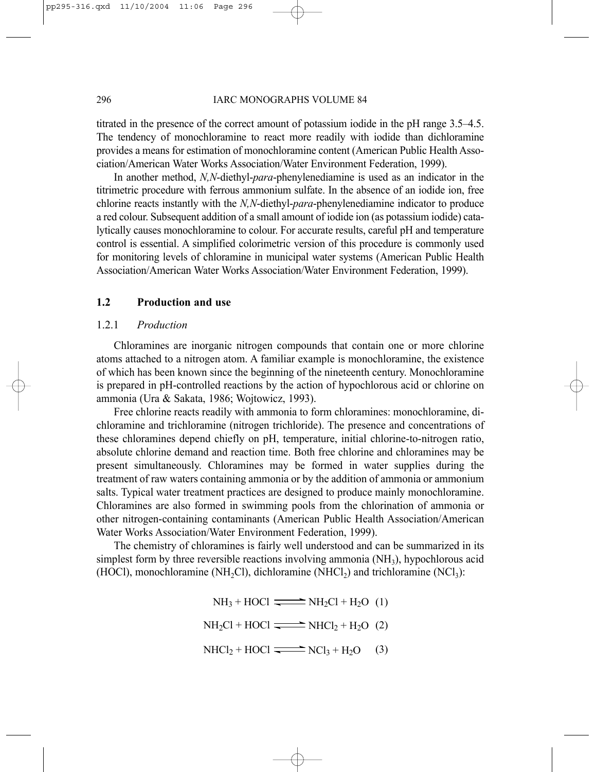titrated in the presence of the correct amount of potassium iodide in the pH range 3.5–4.5. The tendency of monochloramine to react more readily with iodide than dichloramine provides a means for estimation of monochloramine content (American Public Health Association/American Water Works Association/Water Environment Federation, 1999).

In another method, *N,N*-diethyl-*para*-phenylenediamine is used as an indicator in the titrimetric procedure with ferrous ammonium sulfate. In the absence of an iodide ion, free chlorine reacts instantly with the *N,N*-diethyl-*para*-phenylenediamine indicator to produce a red colour. Subsequent addition of a small amount of iodide ion (as potassium iodide) catalytically causes monochloramine to colour. For accurate results, careful pH and temperature control is essential. A simplified colorimetric version of this procedure is commonly used for monitoring levels of chloramine in municipal water systems (American Public Health Association/American Water Works Association/Water Environment Federation, 1999).

# **1.2 Production and use**

#### 1.2.1 *Production*

Chloramines are inorganic nitrogen compounds that contain one or more chlorine atoms attached to a nitrogen atom. A familiar example is monochloramine, the existence of which has been known since the beginning of the nineteenth century. Monochloramine is prepared in pH-controlled reactions by the action of hypochlorous acid or chlorine on ammonia (Ura & Sakata, 1986; Wojtowicz, 1993).

Free chlorine reacts readily with ammonia to form chloramines: monochloramine, dichloramine and trichloramine (nitrogen trichloride). The presence and concentrations of these chloramines depend chiefly on pH, temperature, initial chlorine-to-nitrogen ratio, absolute chlorine demand and reaction time. Both free chlorine and chloramines may be present simultaneously. Chloramines may be formed in water supplies during the treatment of raw waters containing ammonia or by the addition of ammonia or ammonium salts. Typical water treatment practices are designed to produce mainly monochloramine. Chloramines are also formed in swimming pools from the chlorination of ammonia or other nitrogen-containing contaminants (American Public Health Association/American Water Works Association/Water Environment Federation, 1999).

The chemistry of chloramines is fairly well understood and can be summarized in its simplest form by three reversible reactions involving ammonia  $(NH<sub>3</sub>)$ , hypochlorous acid (HOCl), monochloramine (NH<sub>2</sub>Cl), dichloramine (NHCl<sub>2</sub>) and trichloramine (NCl<sub>3</sub>):

$$
NH3 + HOCI \longrightarrow NH2Cl + H2O (1)
$$

 $NH<sub>2</sub>Cl + HOCI \longrightarrow NHCl<sub>2</sub> + H<sub>2</sub>O (2)$ 

 $NHCl<sub>2</sub> + HOCl \xrightarrow{\longrightarrow} NCl<sub>3</sub> + H<sub>2</sub>O$ (3)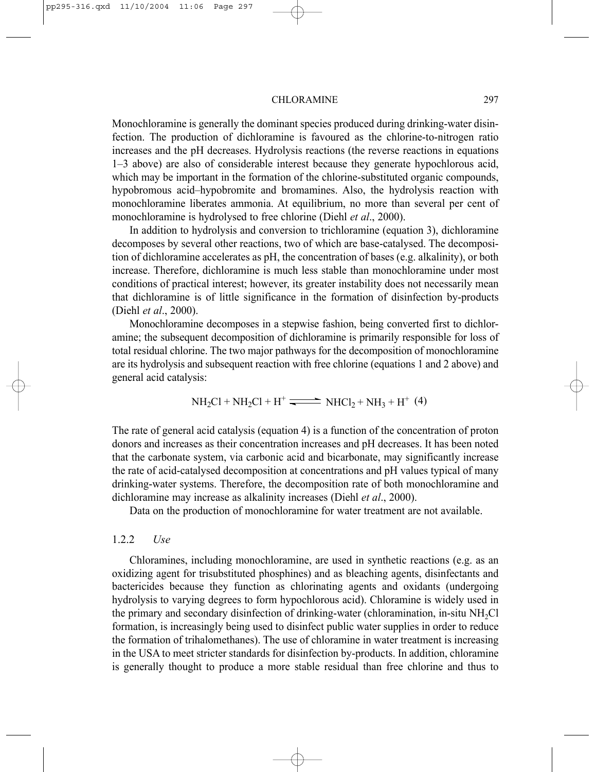Monochloramine is generally the dominant species produced during drinking-water disinfection. The production of dichloramine is favoured as the chlorine-to-nitrogen ratio increases and the pH decreases. Hydrolysis reactions (the reverse reactions in equations 1–3 above) are also of considerable interest because they generate hypochlorous acid, which may be important in the formation of the chlorine-substituted organic compounds, hypobromous acid–hypobromite and bromamines. Also, the hydrolysis reaction with monochloramine liberates ammonia. At equilibrium, no more than several per cent of monochloramine is hydrolysed to free chlorine (Diehl *et al*., 2000).

In addition to hydrolysis and conversion to trichloramine (equation 3), dichloramine decomposes by several other reactions, two of which are base-catalysed. The decomposition of dichloramine accelerates as pH, the concentration of bases (e.g. alkalinity), or both increase. Therefore, dichloramine is much less stable than monochloramine under most conditions of practical interest; however, its greater instability does not necessarily mean that dichloramine is of little significance in the formation of disinfection by-products (Diehl *et al*., 2000).

Monochloramine decomposes in a stepwise fashion, being converted first to dichloramine; the subsequent decomposition of dichloramine is primarily responsible for loss of total residual chlorine. The two major pathways for the decomposition of monochloramine are its hydrolysis and subsequent reaction with free chlorine (equations 1 and 2 above) and general acid catalysis:

$$
NH2Cl + NH2Cl + H+ \xrightarrow{\longrightarrow} NHCl2 + NH3 + H+ (4)
$$

The rate of general acid catalysis (equation 4) is a function of the concentration of proton donors and increases as their concentration increases and pH decreases. It has been noted that the carbonate system, via carbonic acid and bicarbonate, may significantly increase the rate of acid-catalysed decomposition at concentrations and pH values typical of many drinking-water systems. Therefore, the decomposition rate of both monochloramine and dichloramine may increase as alkalinity increases (Diehl *et al*., 2000).

Data on the production of monochloramine for water treatment are not available.

## 1.2.2 *Use*

Chloramines, including monochloramine, are used in synthetic reactions (e.g. as an oxidizing agent for trisubstituted phosphines) and as bleaching agents, disinfectants and bactericides because they function as chlorinating agents and oxidants (undergoing hydrolysis to varying degrees to form hypochlorous acid). Chloramine is widely used in the primary and secondary disinfection of drinking-water (chloramination, in-situ NH<sub>2</sub>Cl formation, is increasingly being used to disinfect public water supplies in order to reduce the formation of trihalomethanes). The use of chloramine in water treatment is increasing in the USA to meet stricter standards for disinfection by-products. In addition, chloramine is generally thought to produce a more stable residual than free chlorine and thus to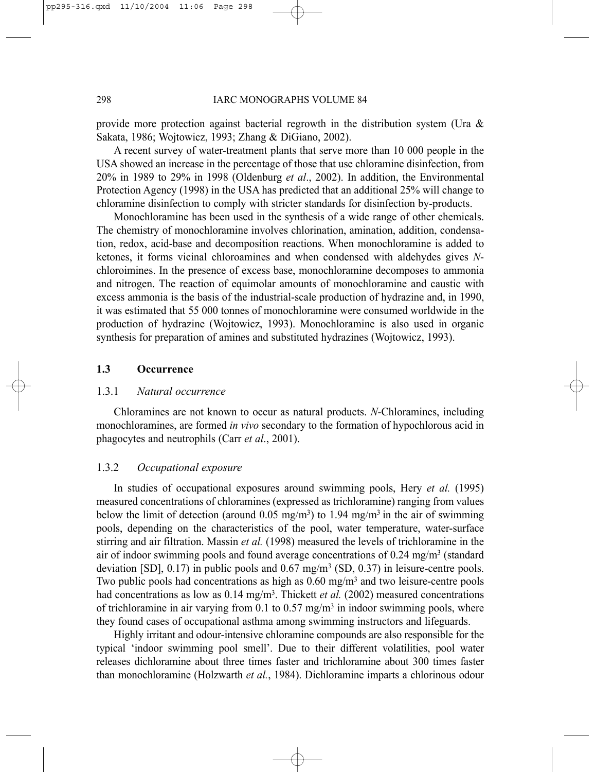provide more protection against bacterial regrowth in the distribution system (Ura  $\&$ Sakata, 1986; Wojtowicz, 1993; Zhang & DiGiano, 2002).

A recent survey of water-treatment plants that serve more than 10 000 people in the USA showed an increase in the percentage of those that use chloramine disinfection, from 20% in 1989 to 29% in 1998 (Oldenburg *et al*., 2002). In addition, the Environmental Protection Agency (1998) in the USA has predicted that an additional 25% will change to chloramine disinfection to comply with stricter standards for disinfection by-products.

Monochloramine has been used in the synthesis of a wide range of other chemicals. The chemistry of monochloramine involves chlorination, amination, addition, condensation, redox, acid-base and decomposition reactions. When monochloramine is added to ketones, it forms vicinal chloroamines and when condensed with aldehydes gives *N*chloroimines. In the presence of excess base, monochloramine decomposes to ammonia and nitrogen. The reaction of equimolar amounts of monochloramine and caustic with excess ammonia is the basis of the industrial-scale production of hydrazine and, in 1990, it was estimated that 55 000 tonnes of monochloramine were consumed worldwide in the production of hydrazine (Wojtowicz, 1993). Monochloramine is also used in organic synthesis for preparation of amines and substituted hydrazines (Wojtowicz, 1993).

# **1.3 Occurrence**

#### 1.3.1 *Natural occurrence*

Chloramines are not known to occur as natural products. *N*-Chloramines, including monochloramines, are formed *in vivo* secondary to the formation of hypochlorous acid in phagocytes and neutrophils (Carr *et al*., 2001).

### 1.3.2 *Occupational exposure*

In studies of occupational exposures around swimming pools, Hery *et al.* (1995) measured concentrations of chloramines (expressed as trichloramine) ranging from values below the limit of detection (around 0.05 mg/m<sup>3</sup>) to 1.94 mg/m<sup>3</sup> in the air of swimming pools, depending on the characteristics of the pool, water temperature, water-surface stirring and air filtration. Massin *et al.* (1998) measured the levels of trichloramine in the air of indoor swimming pools and found average concentrations of 0.24 mg/m3 (standard deviation [SD],  $0.17$ ) in public pools and  $0.67$  mg/m<sup>3</sup> (SD,  $0.37$ ) in leisure-centre pools. Two public pools had concentrations as high as  $0.60 \text{ mg/m}^3$  and two leisure-centre pools had concentrations as low as 0.14 mg/m<sup>3</sup>. Thickett *et al.* (2002) measured concentrations of trichloramine in air varying from 0.1 to 0.57 mg/m<sup>3</sup> in indoor swimming pools, where they found cases of occupational asthma among swimming instructors and lifeguards.

Highly irritant and odour-intensive chloramine compounds are also responsible for the typical 'indoor swimming pool smell'. Due to their different volatilities, pool water releases dichloramine about three times faster and trichloramine about 300 times faster than monochloramine (Holzwarth *et al.*, 1984). Dichloramine imparts a chlorinous odour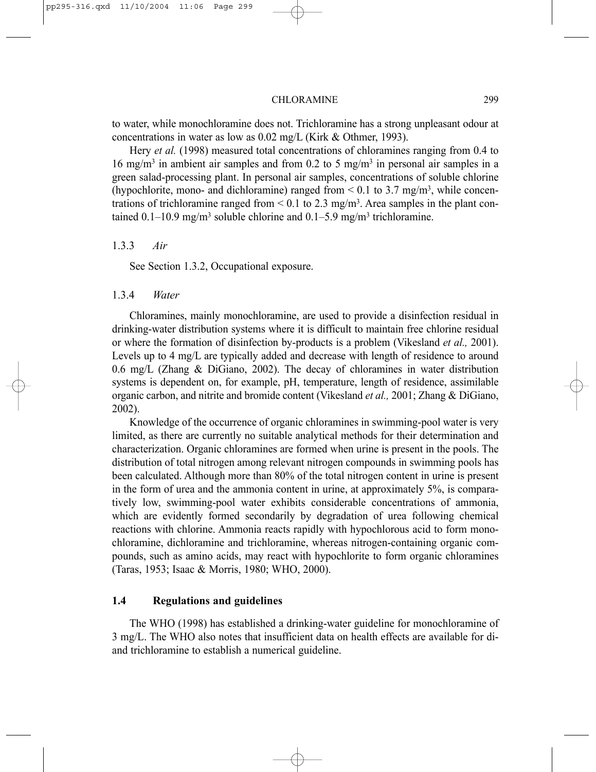to water, while monochloramine does not. Trichloramine has a strong unpleasant odour at concentrations in water as low as 0.02 mg/L (Kirk & Othmer, 1993).

Hery *et al.* (1998) measured total concentrations of chloramines ranging from 0.4 to 16 mg/m<sup>3</sup> in ambient air samples and from 0.2 to 5 mg/m<sup>3</sup> in personal air samples in a green salad-processing plant. In personal air samples, concentrations of soluble chlorine (hypochlorite, mono- and dichloramine) ranged from  $\leq 0.1$  to 3.7 mg/m<sup>3</sup>, while concentrations of trichloramine ranged from  $\leq 0.1$  to 2.3 mg/m<sup>3</sup>. Area samples in the plant contained  $0.1-10.9$  mg/m<sup>3</sup> soluble chlorine and  $0.1-5.9$  mg/m<sup>3</sup> trichloramine.

#### 1.3.3 *Air*

See Section 1.3.2, Occupational exposure.

## 1.3.4 *Water*

Chloramines, mainly monochloramine, are used to provide a disinfection residual in drinking-water distribution systems where it is difficult to maintain free chlorine residual or where the formation of disinfection by-products is a problem (Vikesland *et al.,* 2001). Levels up to 4 mg/L are typically added and decrease with length of residence to around 0.6 mg/L (Zhang & DiGiano, 2002). The decay of chloramines in water distribution systems is dependent on, for example, pH, temperature, length of residence, assimilable organic carbon, and nitrite and bromide content (Vikesland *et al.,* 2001; Zhang & DiGiano, 2002).

Knowledge of the occurrence of organic chloramines in swimming-pool water is very limited, as there are currently no suitable analytical methods for their determination and characterization. Organic chloramines are formed when urine is present in the pools. The distribution of total nitrogen among relevant nitrogen compounds in swimming pools has been calculated. Although more than 80% of the total nitrogen content in urine is present in the form of urea and the ammonia content in urine, at approximately 5%, is comparatively low, swimming-pool water exhibits considerable concentrations of ammonia, which are evidently formed secondarily by degradation of urea following chemical reactions with chlorine. Ammonia reacts rapidly with hypochlorous acid to form monochloramine, dichloramine and trichloramine, whereas nitrogen-containing organic compounds, such as amino acids, may react with hypochlorite to form organic chloramines (Taras, 1953; Isaac & Morris, 1980; WHO, 2000).

### **1.4 Regulations and guidelines**

The WHO (1998) has established a drinking-water guideline for monochloramine of 3 mg/L. The WHO also notes that insufficient data on health effects are available for diand trichloramine to establish a numerical guideline.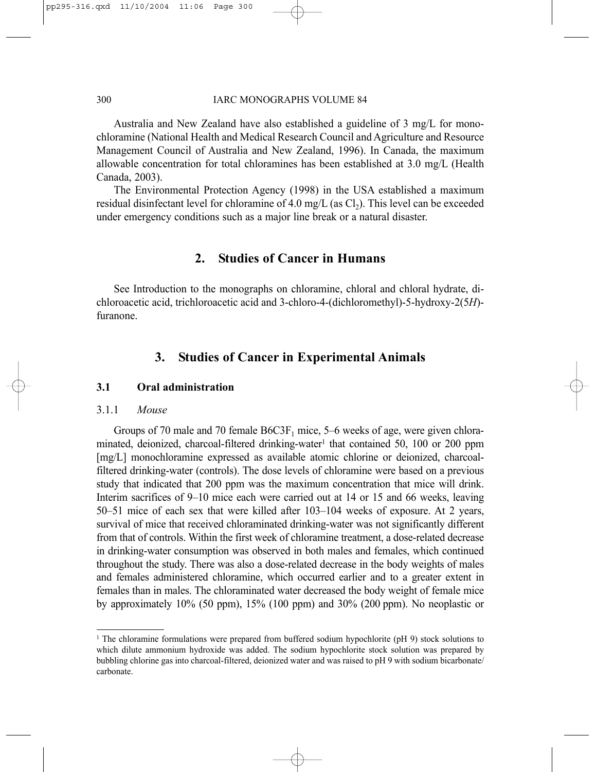Australia and New Zealand have also established a guideline of 3 mg/L for monochloramine (National Health and Medical Research Council and Agriculture and Resource Management Council of Australia and New Zealand, 1996). In Canada, the maximum allowable concentration for total chloramines has been established at 3.0 mg/L (Health Canada, 2003).

The Environmental Protection Agency (1998) in the USA established a maximum residual disinfectant level for chloramine of 4.0 mg/L (as  $Cl<sub>2</sub>$ ). This level can be exceeded under emergency conditions such as a major line break or a natural disaster.

# **2. Studies of Cancer in Humans**

See Introduction to the monographs on chloramine, chloral and chloral hydrate, dichloroacetic acid, trichloroacetic acid and 3-chloro-4-(dichloromethyl)-5-hydroxy-2(5*H*) furanone.

# **3. Studies of Cancer in Experimental Animals**

# **3.1 Oral administration**

## 3.1.1 *Mouse*

Groups of 70 male and 70 female  $B6C3F_1$  mice, 5–6 weeks of age, were given chloraminated, deionized, charcoal-filtered drinking-water<sup>1</sup> that contained 50, 100 or 200 ppm [mg/L] monochloramine expressed as available atomic chlorine or deionized, charcoalfiltered drinking-water (controls). The dose levels of chloramine were based on a previous study that indicated that 200 ppm was the maximum concentration that mice will drink. Interim sacrifices of 9–10 mice each were carried out at 14 or 15 and 66 weeks, leaving 50–51 mice of each sex that were killed after 103–104 weeks of exposure. At 2 years, survival of mice that received chloraminated drinking-water was not significantly different from that of controls. Within the first week of chloramine treatment, a dose-related decrease in drinking-water consumption was observed in both males and females, which continued throughout the study. There was also a dose-related decrease in the body weights of males and females administered chloramine, which occurred earlier and to a greater extent in females than in males. The chloraminated water decreased the body weight of female mice by approximately 10% (50 ppm), 15% (100 ppm) and 30% (200 ppm). No neoplastic or

<sup>1</sup> The chloramine formulations were prepared from buffered sodium hypochlorite (pH 9) stock solutions to which dilute ammonium hydroxide was added. The sodium hypochlorite stock solution was prepared by bubbling chlorine gas into charcoal-filtered, deionized water and was raised to pH 9 with sodium bicarbonate/ carbonate.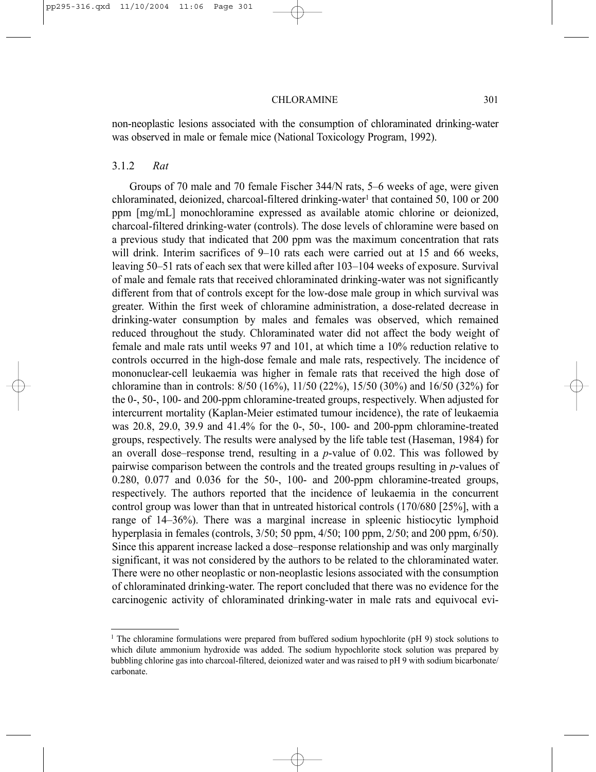non-neoplastic lesions associated with the consumption of chloraminated drinking-water was observed in male or female mice (National Toxicology Program, 1992).

#### 3.1.2 *Rat*

Groups of 70 male and 70 female Fischer 344/N rats, 5–6 weeks of age, were given chloraminated, deionized, charcoal-filtered drinking-water<sup>1</sup> that contained 50, 100 or 200 ppm [mg/mL] monochloramine expressed as available atomic chlorine or deionized, charcoal-filtered drinking-water (controls). The dose levels of chloramine were based on a previous study that indicated that 200 ppm was the maximum concentration that rats will drink. Interim sacrifices of 9–10 rats each were carried out at 15 and 66 weeks, leaving 50–51 rats of each sex that were killed after 103–104 weeks of exposure. Survival of male and female rats that received chloraminated drinking-water was not significantly different from that of controls except for the low-dose male group in which survival was greater. Within the first week of chloramine administration, a dose-related decrease in drinking-water consumption by males and females was observed, which remained reduced throughout the study. Chloraminated water did not affect the body weight of female and male rats until weeks 97 and 101, at which time a 10% reduction relative to controls occurred in the high-dose female and male rats, respectively. The incidence of mononuclear-cell leukaemia was higher in female rats that received the high dose of chloramine than in controls: 8/50 (16%), 11/50 (22%), 15/50 (30%) and 16/50 (32%) for the 0-, 50-, 100- and 200-ppm chloramine-treated groups, respectively. When adjusted for intercurrent mortality (Kaplan-Meier estimated tumour incidence), the rate of leukaemia was 20.8, 29.0, 39.9 and 41.4% for the 0-, 50-, 100- and 200-ppm chloramine-treated groups, respectively. The results were analysed by the life table test (Haseman, 1984) for an overall dose–response trend, resulting in a *p*-value of 0.02. This was followed by pairwise comparison between the controls and the treated groups resulting in *p*-values of 0.280, 0.077 and 0.036 for the 50-, 100- and 200-ppm chloramine-treated groups, respectively. The authors reported that the incidence of leukaemia in the concurrent control group was lower than that in untreated historical controls (170/680 [25%], with a range of 14–36%). There was a marginal increase in spleenic histiocytic lymphoid hyperplasia in females (controls, 3/50; 50 ppm, 4/50; 100 ppm, 2/50; and 200 ppm, 6/50). Since this apparent increase lacked a dose–response relationship and was only marginally significant, it was not considered by the authors to be related to the chloraminated water. There were no other neoplastic or non-neoplastic lesions associated with the consumption of chloraminated drinking-water. The report concluded that there was no evidence for the carcinogenic activity of chloraminated drinking-water in male rats and equivocal evi-

<sup>1</sup> The chloramine formulations were prepared from buffered sodium hypochlorite (pH 9) stock solutions to which dilute ammonium hydroxide was added. The sodium hypochlorite stock solution was prepared by bubbling chlorine gas into charcoal-filtered, deionized water and was raised to pH 9 with sodium bicarbonate/ carbonate.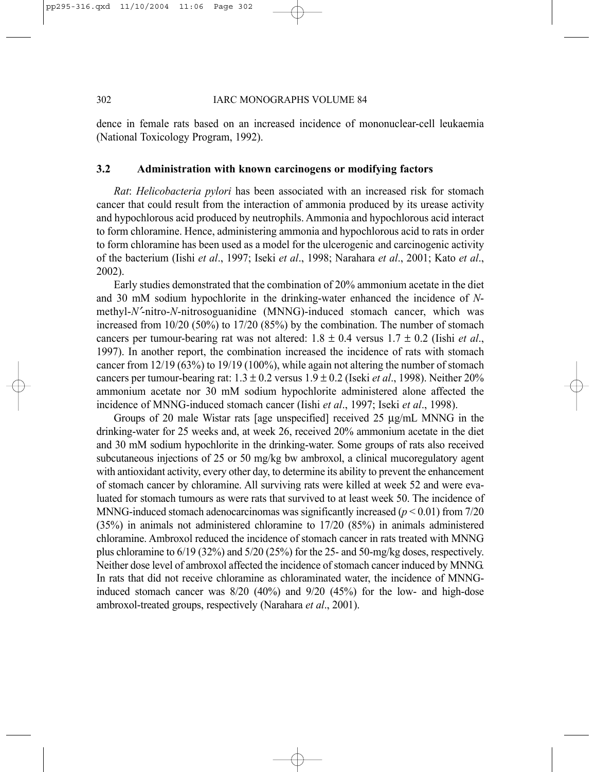dence in female rats based on an increased incidence of mononuclear-cell leukaemia (National Toxicology Program, 1992).

#### **3.2 Administration with known carcinogens or modifying factors**

*Rat*: *Helicobacteria pylori* has been associated with an increased risk for stomach cancer that could result from the interaction of ammonia produced by its urease activity and hypochlorous acid produced by neutrophils. Ammonia and hypochlorous acid interact to form chloramine. Hence, administering ammonia and hypochlorous acid to rats in order to form chloramine has been used as a model for the ulcerogenic and carcinogenic activity of the bacterium (Iishi *et al*., 1997; Iseki *et al*., 1998; Narahara *et al*., 2001; Kato *et al*., 2002).

Early studies demonstrated that the combination of 20% ammonium acetate in the diet and 30 mM sodium hypochlorite in the drinking-water enhanced the incidence of *N*methyl-*N*′-nitro-*N*-nitrosoguanidine (MNNG)-induced stomach cancer, which was increased from 10/20 (50%) to 17/20 (85%) by the combination. The number of stomach cancers per tumour-bearing rat was not altered:  $1.8 \pm 0.4$  versus  $1.7 \pm 0.2$  (lishi *et al.*, 1997). In another report, the combination increased the incidence of rats with stomach cancer from 12/19 (63%) to 19/19 (100%), while again not altering the number of stomach cancers per tumour-bearing rat:  $1.3 \pm 0.2$  versus  $1.9 \pm 0.2$  (Iseki *et al.*, 1998). Neither 20% ammonium acetate nor 30 mM sodium hypochlorite administered alone affected the incidence of MNNG-induced stomach cancer (Iishi *et al*., 1997; Iseki *et al*., 1998).

Groups of 20 male Wistar rats [age unspecified] received 25 µg/mL MNNG in the drinking-water for 25 weeks and, at week 26, received 20% ammonium acetate in the diet and 30 mM sodium hypochlorite in the drinking-water. Some groups of rats also received subcutaneous injections of 25 or 50 mg/kg bw ambroxol, a clinical mucoregulatory agent with antioxidant activity, every other day, to determine its ability to prevent the enhancement of stomach cancer by chloramine. All surviving rats were killed at week 52 and were evaluated for stomach tumours as were rats that survived to at least week 50. The incidence of MNNG-induced stomach adenocarcinomas was significantly increased  $(p < 0.01)$  from 7/20 (35%) in animals not administered chloramine to 17/20 (85%) in animals administered chloramine. Ambroxol reduced the incidence of stomach cancer in rats treated with MNNG plus chloramine to  $6/19$  (32%) and  $5/20$  (25%) for the 25- and 50-mg/kg doses, respectively. Neither dose level of ambroxol affected the incidence of stomach cancer induced by MNNG. In rats that did not receive chloramine as chloraminated water, the incidence of MNNGinduced stomach cancer was 8/20 (40%) and 9/20 (45%) for the low- and high-dose ambroxol-treated groups, respectively (Narahara *et al*., 2001).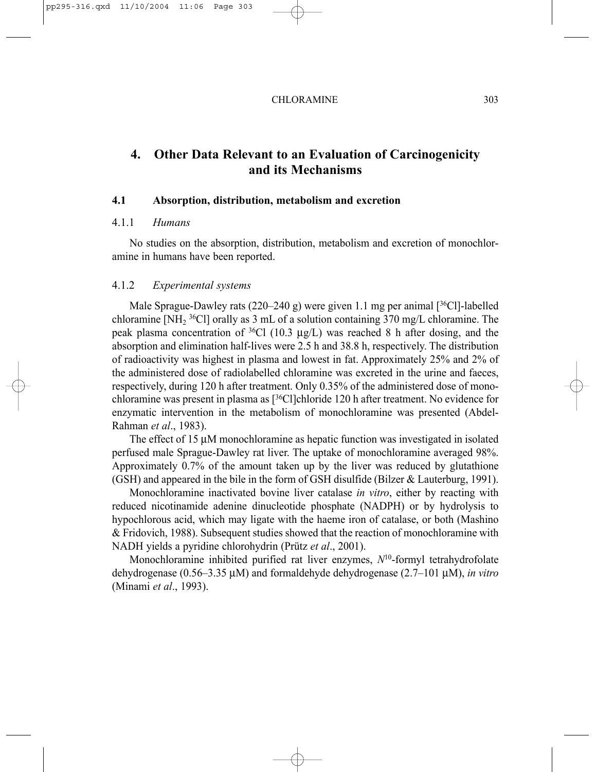# **4. Other Data Relevant to an Evaluation of Carcinogenicity and its Mechanisms**

#### **4.1 Absorption, distribution, metabolism and excretion**

#### 4.1.1 *Humans*

No studies on the absorption, distribution, metabolism and excretion of monochloramine in humans have been reported.

### 4.1.2 *Experimental systems*

Male Sprague-Dawley rats  $(220-240 \text{ g})$  were given 1.1 mg per animal  $\lceil \sqrt[36]{\text{Cl}} \rceil$ -labelled chloramine [NH<sub>2</sub> <sup>36</sup>Cl] orally as 3 mL of a solution containing 370 mg/L chloramine. The peak plasma concentration of  ${}^{36}Cl$  (10.3  $\mu$ g/L) was reached 8 h after dosing, and the absorption and elimination half-lives were 2.5 h and 38.8 h, respectively. The distribution of radioactivity was highest in plasma and lowest in fat. Approximately 25% and 2% of the administered dose of radiolabelled chloramine was excreted in the urine and faeces, respectively, during 120 h after treatment. Only 0.35% of the administered dose of monochloramine was present in plasma as  $[36C]$ chloride 120 h after treatment. No evidence for enzymatic intervention in the metabolism of monochloramine was presented (Abdel-Rahman *et al*., 1983).

The effect of 15  $\mu$ M monochloramine as hepatic function was investigated in isolated perfused male Sprague-Dawley rat liver. The uptake of monochloramine averaged 98%. Approximately 0.7% of the amount taken up by the liver was reduced by glutathione (GSH) and appeared in the bile in the form of GSH disulfide (Bilzer & Lauterburg, 1991).

Monochloramine inactivated bovine liver catalase *in vitro*, either by reacting with reduced nicotinamide adenine dinucleotide phosphate (NADPH) or by hydrolysis to hypochlorous acid, which may ligate with the haeme iron of catalase, or both (Mashino & Fridovich, 1988). Subsequent studies showed that the reaction of monochloramine with NADH yields a pyridine chlorohydrin (Prütz *et al*., 2001).

Monochloramine inhibited purified rat liver enzymes, *N*10-formyl tetrahydrofolate dehydrogenase (0.56–3.35 µM) and formaldehyde dehydrogenase (2.7–101 µM), *in vitro* (Minami *et al*., 1993).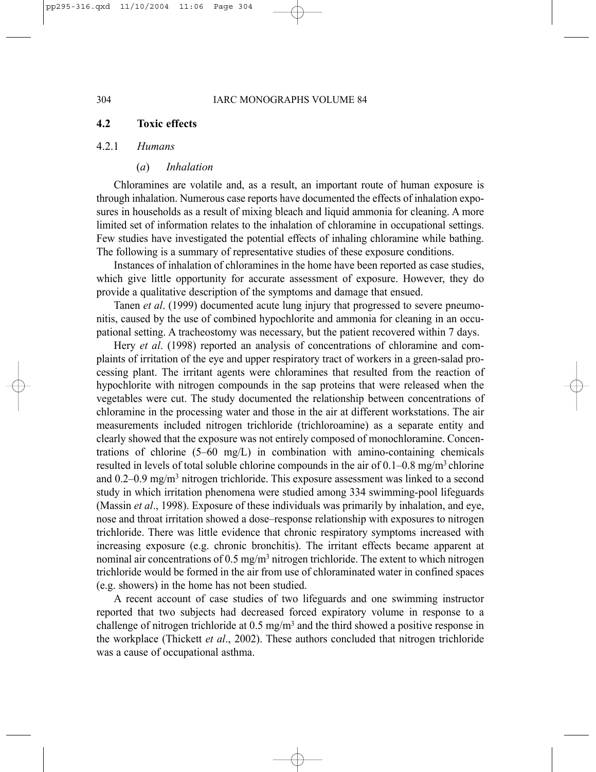# **4.2 Toxic effects**

#### 4.2.1 *Humans*

#### (*a*) *Inhalation*

Chloramines are volatile and, as a result, an important route of human exposure is through inhalation. Numerous case reports have documented the effects of inhalation exposures in households as a result of mixing bleach and liquid ammonia for cleaning. A more limited set of information relates to the inhalation of chloramine in occupational settings. Few studies have investigated the potential effects of inhaling chloramine while bathing. The following is a summary of representative studies of these exposure conditions.

Instances of inhalation of chloramines in the home have been reported as case studies, which give little opportunity for accurate assessment of exposure. However, they do provide a qualitative description of the symptoms and damage that ensued.

Tanen *et al*. (1999) documented acute lung injury that progressed to severe pneumonitis, caused by the use of combined hypochlorite and ammonia for cleaning in an occupational setting. A tracheostomy was necessary, but the patient recovered within 7 days.

Hery *et al*. (1998) reported an analysis of concentrations of chloramine and complaints of irritation of the eye and upper respiratory tract of workers in a green-salad processing plant. The irritant agents were chloramines that resulted from the reaction of hypochlorite with nitrogen compounds in the sap proteins that were released when the vegetables were cut. The study documented the relationship between concentrations of chloramine in the processing water and those in the air at different workstations. The air measurements included nitrogen trichloride (trichloroamine) as a separate entity and clearly showed that the exposure was not entirely composed of monochloramine. Concentrations of chlorine (5–60 mg/L) in combination with amino-containing chemicals resulted in levels of total soluble chlorine compounds in the air of  $0.1-0.8$  mg/m<sup>3</sup> chlorine and 0.2–0.9 mg/m3 nitrogen trichloride. This exposure assessment was linked to a second study in which irritation phenomena were studied among 334 swimming-pool lifeguards (Massin *et al*., 1998). Exposure of these individuals was primarily by inhalation, and eye, nose and throat irritation showed a dose–response relationship with exposures to nitrogen trichloride. There was little evidence that chronic respiratory symptoms increased with increasing exposure (e.g. chronic bronchitis). The irritant effects became apparent at nominal air concentrations of 0.5 mg/m<sup>3</sup> nitrogen trichloride. The extent to which nitrogen trichloride would be formed in the air from use of chloraminated water in confined spaces (e.g. showers) in the home has not been studied.

A recent account of case studies of two lifeguards and one swimming instructor reported that two subjects had decreased forced expiratory volume in response to a challenge of nitrogen trichloride at 0.5 mg/m3 and the third showed a positive response in the workplace (Thickett *et al*., 2002). These authors concluded that nitrogen trichloride was a cause of occupational asthma.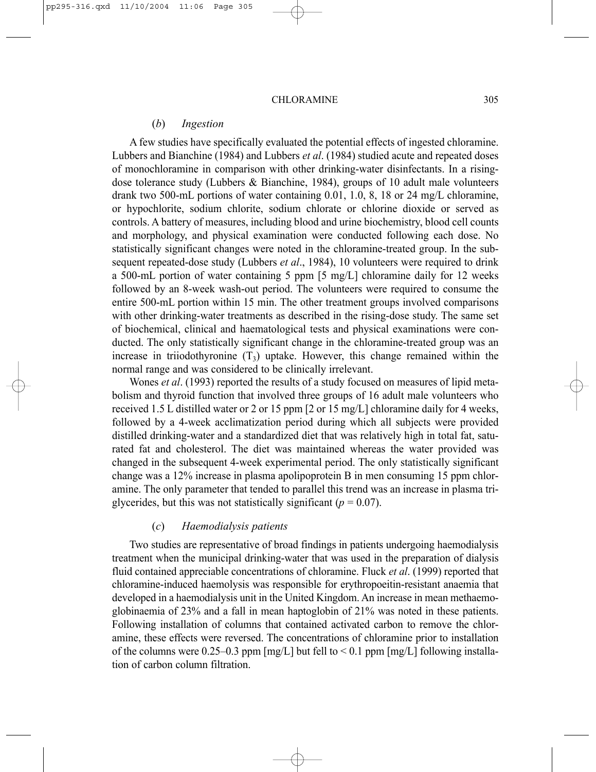#### (*b*) *Ingestion*

A few studies have specifically evaluated the potential effects of ingested chloramine. Lubbers and Bianchine (1984) and Lubbers *et al*. (1984) studied acute and repeated doses of monochloramine in comparison with other drinking-water disinfectants. In a risingdose tolerance study (Lubbers & Bianchine, 1984), groups of 10 adult male volunteers drank two 500-mL portions of water containing 0.01, 1.0, 8, 18 or 24 mg/L chloramine, or hypochlorite, sodium chlorite, sodium chlorate or chlorine dioxide or served as controls. A battery of measures, including blood and urine biochemistry, blood cell counts and morphology, and physical examination were conducted following each dose. No statistically significant changes were noted in the chloramine-treated group. In the subsequent repeated-dose study (Lubbers *et al*., 1984), 10 volunteers were required to drink a 500-mL portion of water containing 5 ppm [5 mg/L] chloramine daily for 12 weeks followed by an 8-week wash-out period. The volunteers were required to consume the entire 500-mL portion within 15 min. The other treatment groups involved comparisons with other drinking-water treatments as described in the rising-dose study. The same set of biochemical, clinical and haematological tests and physical examinations were conducted. The only statistically significant change in the chloramine-treated group was an increase in triiodothyronine  $(T_3)$  uptake. However, this change remained within the normal range and was considered to be clinically irrelevant.

Wones *et al*. (1993) reported the results of a study focused on measures of lipid metabolism and thyroid function that involved three groups of 16 adult male volunteers who received 1.5 L distilled water or 2 or 15 ppm [2 or 15 mg/L] chloramine daily for 4 weeks, followed by a 4-week acclimatization period during which all subjects were provided distilled drinking-water and a standardized diet that was relatively high in total fat, saturated fat and cholesterol. The diet was maintained whereas the water provided was changed in the subsequent 4-week experimental period. The only statistically significant change was a 12% increase in plasma apolipoprotein B in men consuming 15 ppm chloramine. The only parameter that tended to parallel this trend was an increase in plasma triglycerides, but this was not statistically significant ( $p = 0.07$ ).

#### (*c*) *Haemodialysis patients*

Two studies are representative of broad findings in patients undergoing haemodialysis treatment when the municipal drinking-water that was used in the preparation of dialysis fluid contained appreciable concentrations of chloramine. Fluck *et al*. (1999) reported that chloramine-induced haemolysis was responsible for erythropoeitin-resistant anaemia that developed in a haemodialysis unit in the United Kingdom. An increase in mean methaemoglobinaemia of 23% and a fall in mean haptoglobin of 21% was noted in these patients. Following installation of columns that contained activated carbon to remove the chloramine, these effects were reversed. The concentrations of chloramine prior to installation of the columns were 0.25–0.3 ppm  $[mg/L]$  but fell to  $\leq$  0.1 ppm  $[mg/L]$  following installation of carbon column filtration.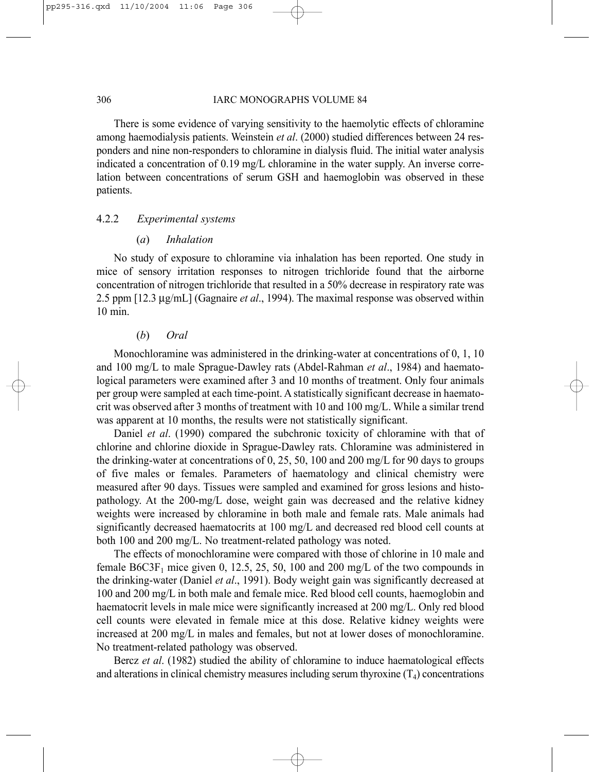There is some evidence of varying sensitivity to the haemolytic effects of chloramine among haemodialysis patients. Weinstein *et al*. (2000) studied differences between 24 responders and nine non-responders to chloramine in dialysis fluid. The initial water analysis indicated a concentration of 0.19 mg/L chloramine in the water supply. An inverse correlation between concentrations of serum GSH and haemoglobin was observed in these patients.

# 4.2.2 *Experimental systems*

#### (*a*) *Inhalation*

No study of exposure to chloramine via inhalation has been reported. One study in mice of sensory irritation responses to nitrogen trichloride found that the airborne concentration of nitrogen trichloride that resulted in a 50% decrease in respiratory rate was 2.5 ppm [12.3 µg/mL] (Gagnaire *et al*., 1994). The maximal response was observed within 10 min.

#### (*b*) *Oral*

Monochloramine was administered in the drinking-water at concentrations of 0, 1, 10 and 100 mg/L to male Sprague-Dawley rats (Abdel-Rahman *et al*., 1984) and haematological parameters were examined after 3 and 10 months of treatment. Only four animals per group were sampled at each time-point. A statistically significant decrease in haematocrit was observed after 3 months of treatment with 10 and 100 mg/L. While a similar trend was apparent at 10 months, the results were not statistically significant.

Daniel *et al*. (1990) compared the subchronic toxicity of chloramine with that of chlorine and chlorine dioxide in Sprague-Dawley rats. Chloramine was administered in the drinking-water at concentrations of 0, 25, 50, 100 and 200 mg/L for 90 days to groups of five males or females. Parameters of haematology and clinical chemistry were measured after 90 days. Tissues were sampled and examined for gross lesions and histopathology. At the 200-mg/L dose, weight gain was decreased and the relative kidney weights were increased by chloramine in both male and female rats. Male animals had significantly decreased haematocrits at 100 mg/L and decreased red blood cell counts at both 100 and 200 mg/L. No treatment-related pathology was noted.

The effects of monochloramine were compared with those of chlorine in 10 male and female B6C3F<sub>1</sub> mice given 0, 12.5, 25, 50, 100 and 200 mg/L of the two compounds in the drinking-water (Daniel *et al*., 1991). Body weight gain was significantly decreased at 100 and 200 mg/L in both male and female mice. Red blood cell counts, haemoglobin and haematocrit levels in male mice were significantly increased at 200 mg/L. Only red blood cell counts were elevated in female mice at this dose. Relative kidney weights were increased at 200 mg/L in males and females, but not at lower doses of monochloramine. No treatment-related pathology was observed.

Bercz *et al*. (1982) studied the ability of chloramine to induce haematological effects and alterations in clinical chemistry measures including serum thyroxine  $(T_4)$  concentrations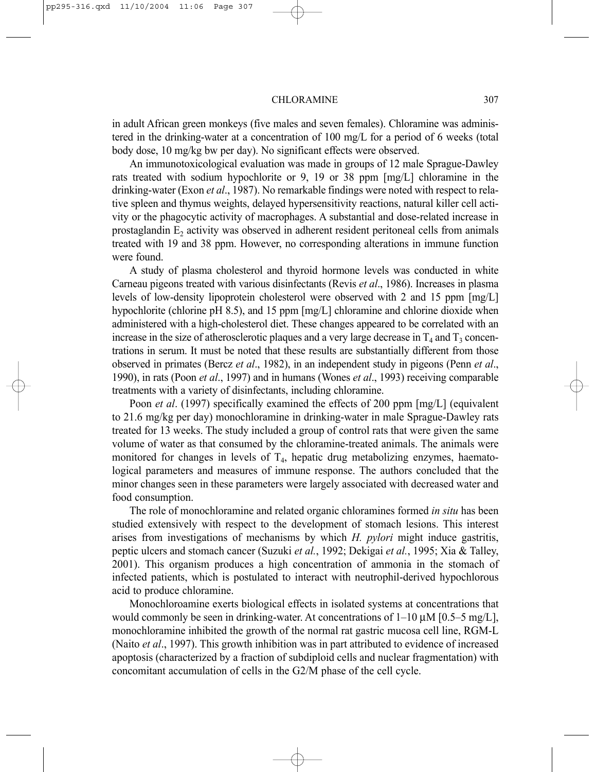in adult African green monkeys (five males and seven females). Chloramine was administered in the drinking-water at a concentration of 100 mg/L for a period of 6 weeks (total body dose, 10 mg/kg bw per day). No significant effects were observed.

An immunotoxicological evaluation was made in groups of 12 male Sprague-Dawley rats treated with sodium hypochlorite or 9, 19 or 38 ppm [mg/L] chloramine in the drinking-water (Exon *et al*., 1987). No remarkable findings were noted with respect to relative spleen and thymus weights, delayed hypersensitivity reactions, natural killer cell activity or the phagocytic activity of macrophages. A substantial and dose-related increase in prostaglandin  $E<sub>2</sub>$  activity was observed in adherent resident peritoneal cells from animals treated with 19 and 38 ppm. However, no corresponding alterations in immune function were found.

A study of plasma cholesterol and thyroid hormone levels was conducted in white Carneau pigeons treated with various disinfectants (Revis *et al*., 1986). Increases in plasma levels of low-density lipoprotein cholesterol were observed with 2 and 15 ppm [mg/L] hypochlorite (chlorine pH 8.5), and 15 ppm  $[mg/L]$  chloramine and chlorine dioxide when administered with a high-cholesterol diet. These changes appeared to be correlated with an increase in the size of atherosclerotic plaques and a very large decrease in  $T_4$  and  $T_3$  concentrations in serum. It must be noted that these results are substantially different from those observed in primates (Bercz *et al*., 1982), in an independent study in pigeons (Penn *et al*., 1990), in rats (Poon *et al*., 1997) and in humans (Wones *et al*., 1993) receiving comparable treatments with a variety of disinfectants, including chloramine.

Poon *et al*. (1997) specifically examined the effects of 200 ppm [mg/L] (equivalent to 21.6 mg/kg per day) monochloramine in drinking-water in male Sprague-Dawley rats treated for 13 weeks. The study included a group of control rats that were given the same volume of water as that consumed by the chloramine-treated animals. The animals were monitored for changes in levels of  $T<sub>4</sub>$ , hepatic drug metabolizing enzymes, haematological parameters and measures of immune response. The authors concluded that the minor changes seen in these parameters were largely associated with decreased water and food consumption.

The role of monochloramine and related organic chloramines formed *in situ* has been studied extensively with respect to the development of stomach lesions. This interest arises from investigations of mechanisms by which *H. pylori* might induce gastritis, peptic ulcers and stomach cancer (Suzuki *et al.*, 1992; Dekigai *et al.*, 1995; Xia & Talley, 2001). This organism produces a high concentration of ammonia in the stomach of infected patients, which is postulated to interact with neutrophil-derived hypochlorous acid to produce chloramine.

Monochloroamine exerts biological effects in isolated systems at concentrations that would commonly be seen in drinking-water. At concentrations of  $1-10 \mu M$  [0.5–5 mg/L], monochloramine inhibited the growth of the normal rat gastric mucosa cell line, RGM-L (Naito *et al*., 1997). This growth inhibition was in part attributed to evidence of increased apoptosis (characterized by a fraction of subdiploid cells and nuclear fragmentation) with concomitant accumulation of cells in the G2/M phase of the cell cycle.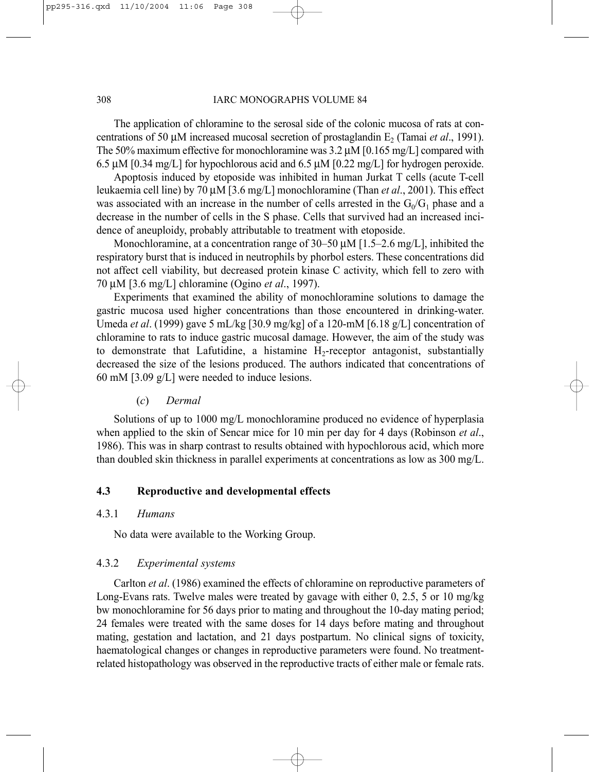The application of chloramine to the serosal side of the colonic mucosa of rats at concentrations of 50  $\mu$ M increased mucosal secretion of prostaglandin E<sub>2</sub> (Tamai *et al.*, 1991). The 50% maximum effective for monochloramine was 3.2 µM [0.165 mg/L] compared with 6.5 µM [0.34 mg/L] for hypochlorous acid and 6.5 µM [0.22 mg/L] for hydrogen peroxide.

Apoptosis induced by etoposide was inhibited in human Jurkat T cells (acute T-cell leukaemia cell line) by 70 µM [3.6 mg/L] monochloramine (Than *et al*., 2001). This effect was associated with an increase in the number of cells arrested in the  $G_0/G_1$  phase and a decrease in the number of cells in the S phase. Cells that survived had an increased incidence of aneuploidy, probably attributable to treatment with etoposide.

Monochloramine, at a concentration range of 30–50  $\mu$ M [1.5–2.6 mg/L], inhibited the respiratory burst that is induced in neutrophils by phorbol esters. These concentrations did not affect cell viability, but decreased protein kinase C activity, which fell to zero with 70 µM [3.6 mg/L] chloramine (Ogino *et al*., 1997).

Experiments that examined the ability of monochloramine solutions to damage the gastric mucosa used higher concentrations than those encountered in drinking-water. Umeda *et al*. (1999) gave 5 mL/kg [30.9 mg/kg] of a 120-mM [6.18 g/L] concentration of chloramine to rats to induce gastric mucosal damage. However, the aim of the study was to demonstrate that Lafutidine, a histamine  $H_2$ -receptor antagonist, substantially decreased the size of the lesions produced. The authors indicated that concentrations of 60 mM [3.09 g/L] were needed to induce lesions.

#### (*c*) *Dermal*

Solutions of up to 1000 mg/L monochloramine produced no evidence of hyperplasia when applied to the skin of Sencar mice for 10 min per day for 4 days (Robinson *et al*., 1986). This was in sharp contrast to results obtained with hypochlorous acid, which more than doubled skin thickness in parallel experiments at concentrations as low as 300 mg/L.

# **4.3 Reproductive and developmental effects**

## 4.3.1 *Humans*

No data were available to the Working Group.

# 4.3.2 *Experimental systems*

Carlton *et al*. (1986) examined the effects of chloramine on reproductive parameters of Long-Evans rats. Twelve males were treated by gavage with either 0, 2.5, 5 or 10 mg/kg bw monochloramine for 56 days prior to mating and throughout the 10-day mating period; 24 females were treated with the same doses for 14 days before mating and throughout mating, gestation and lactation, and 21 days postpartum. No clinical signs of toxicity, haematological changes or changes in reproductive parameters were found. No treatmentrelated histopathology was observed in the reproductive tracts of either male or female rats.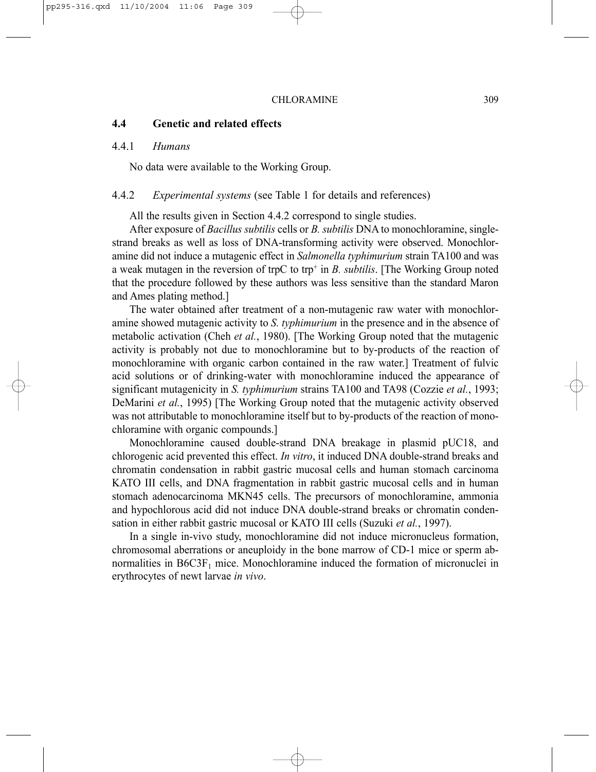### **4.4 Genetic and related effects**

#### 4.4.1 *Humans*

No data were available to the Working Group.

#### 4.4.2 *Experimental systems* (see Table 1 for details and references)

All the results given in Section 4.4.2 correspond to single studies.

After exposure of *Bacillus subtilis* cells or *B. subtilis* DNA to monochloramine, singlestrand breaks as well as loss of DNA-transforming activity were observed. Monochloramine did not induce a mutagenic effect in *Salmonella typhimurium* strain TA100 and was a weak mutagen in the reversion of trpC to trp<sup>+</sup> in *B. subtilis*. [The Working Group noted that the procedure followed by these authors was less sensitive than the standard Maron and Ames plating method.]

The water obtained after treatment of a non-mutagenic raw water with monochloramine showed mutagenic activity to *S. typhimurium* in the presence and in the absence of metabolic activation (Cheh *et al.*, 1980). [The Working Group noted that the mutagenic activity is probably not due to monochloramine but to by-products of the reaction of monochloramine with organic carbon contained in the raw water.] Treatment of fulvic acid solutions or of drinking-water with monochloramine induced the appearance of significant mutagenicity in *S. typhimurium* strains TA100 and TA98 (Cozzie *et al.*, 1993; DeMarini *et al.*, 1995) [The Working Group noted that the mutagenic activity observed was not attributable to monochloramine itself but to by-products of the reaction of monochloramine with organic compounds.]

Monochloramine caused double-strand DNA breakage in plasmid pUC18, and chlorogenic acid prevented this effect. *In vitro*, it induced DNA double-strand breaks and chromatin condensation in rabbit gastric mucosal cells and human stomach carcinoma KATO III cells, and DNA fragmentation in rabbit gastric mucosal cells and in human stomach adenocarcinoma MKN45 cells. The precursors of monochloramine, ammonia and hypochlorous acid did not induce DNA double-strand breaks or chromatin condensation in either rabbit gastric mucosal or KATO III cells (Suzuki *et al.*, 1997).

In a single in-vivo study, monochloramine did not induce micronucleus formation, chromosomal aberrations or aneuploidy in the bone marrow of CD-1 mice or sperm abnormalities in  $B6C3F<sub>1</sub>$  mice. Monochloramine induced the formation of micronuclei in erythrocytes of newt larvae *in vivo*.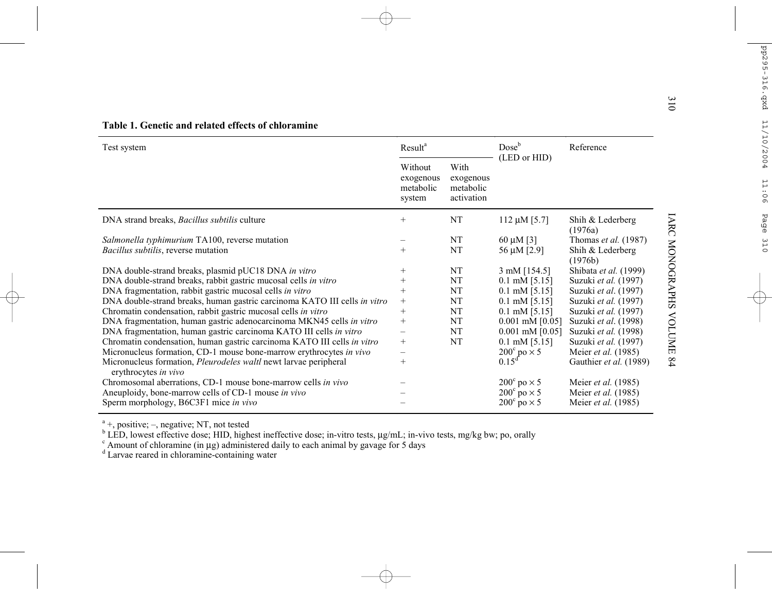| س<br>$\overline{0}$<br>Table 1. Genetic and related effects of chloramine                       |                                             |                                              |                             |                             |                   |
|-------------------------------------------------------------------------------------------------|---------------------------------------------|----------------------------------------------|-----------------------------|-----------------------------|-------------------|
| Test system                                                                                     | Result <sup>a</sup>                         |                                              | Dose <sup>b</sup>           | Reference                   |                   |
|                                                                                                 | Without<br>exogenous<br>metabolic<br>system | With<br>exogenous<br>metabolic<br>activation | (LED or HID)                |                             |                   |
| DNA strand breaks, Bacillus subtilis culture                                                    | $^{+}$                                      | <b>NT</b>                                    | 112 $\mu$ M [5.7]           | Shih & Lederberg<br>(1976a) | IARC              |
| Salmonella typhimurium TA100, reverse mutation                                                  |                                             | NT                                           | 60 $\mu$ M [3]              | Thomas <i>et al.</i> (1987) |                   |
| Bacillus subtilis, reverse mutation                                                             | $^{+}$                                      | NT                                           | 56 μM [2.9]                 | Shih & Lederberg<br>(1976b) | <b>MONOGRAPHS</b> |
| DNA double-strand breaks, plasmid pUC18 DNA in vitro                                            | $^+$                                        | NT                                           | 3 mM [154.5]                | Shibata et al. (1999)       |                   |
| DNA double-strand breaks, rabbit gastric mucosal cells in vitro                                 |                                             | NT                                           | $0.1$ mM $[5.15]$           | Suzuki et al. (1997)        |                   |
| DNA fragmentation, rabbit gastric mucosal cells in vitro                                        | $^{+}$                                      | <b>NT</b>                                    | $0.1$ mM [5.15]             | Suzuki et al. (1997)        |                   |
| DNA double-strand breaks, human gastric carcinoma KATO III cells in vitro                       | $^{+}$                                      | NT                                           | $0.1$ mM [5.15]             | Suzuki et al. (1997)        |                   |
| Chromatin condensation, rabbit gastric mucosal cells in vitro                                   | $^{+}$                                      | NT                                           | $0.1$ mM [5.15]             | Suzuki et al. (1997)        |                   |
| DNA fragmentation, human gastric adenocarcinoma MKN45 cells in vitro                            | $^{+}$                                      | NT                                           | $0.001$ mM $[0.05]$         | Suzuki et al. (1998)        |                   |
| DNA fragmentation, human gastric carcinoma KATO III cells in vitro                              |                                             | NT                                           | $0.001$ mM $[0.05]$         | Suzuki et al. (1998)        | <b>VOLUME</b>     |
| Chromatin condensation, human gastric carcinoma KATO III cells in vitro                         | $^{+}$                                      | <b>NT</b>                                    | $0.1$ mM [5.15]             | Suzuki et al. (1997)        |                   |
| Micronucleus formation, CD-1 mouse bone-marrow erythrocytes in vivo                             |                                             |                                              | $200^{\circ}$ po $\times$ 5 | Meier <i>et al.</i> (1985)  |                   |
| Micronucleus formation, <i>Pleurodeles waltl</i> newt larvae peripheral<br>erythrocytes in vivo | $^{+}$                                      |                                              | $0.15^d$                    | Gauthier et al. (1989)      | $^{84}$           |
| Chromosomal aberrations, CD-1 mouse bone-marrow cells in vivo                                   |                                             |                                              | $200^{\circ}$ po $\times$ 5 | Meier <i>et al.</i> (1985)  |                   |
| Aneuploidy, bone-marrow cells of CD-1 mouse in vivo                                             |                                             |                                              | $200^{\circ}$ po $\times$ 5 | Meier et al. (1985)         |                   |
| Sperm morphology, B6C3F1 mice in vivo                                                           |                                             |                                              | $200^{\circ}$ po $\times$ 5 | Meier et al. (1985)         |                   |

 $a^4$  +, positive; –, negative; NT, not tested

<sup>b</sup> LED, lowest effective dose; HID, highest ineffective dose; in-vitro tests,  $\mu g/mL$ ; in-vivo tests, mg/kg bw; po, orally c Amount of chloramine (in  $\mu g$ ) administered daily to each animal by gavage for 5 days

 $\alpha$ <sup>c</sup> Amount of chloramine (in µg) administered daily to each animal by gavage for 5 days  $\alpha$ <sup>d</sup> Larvae reared in chloramine-containing water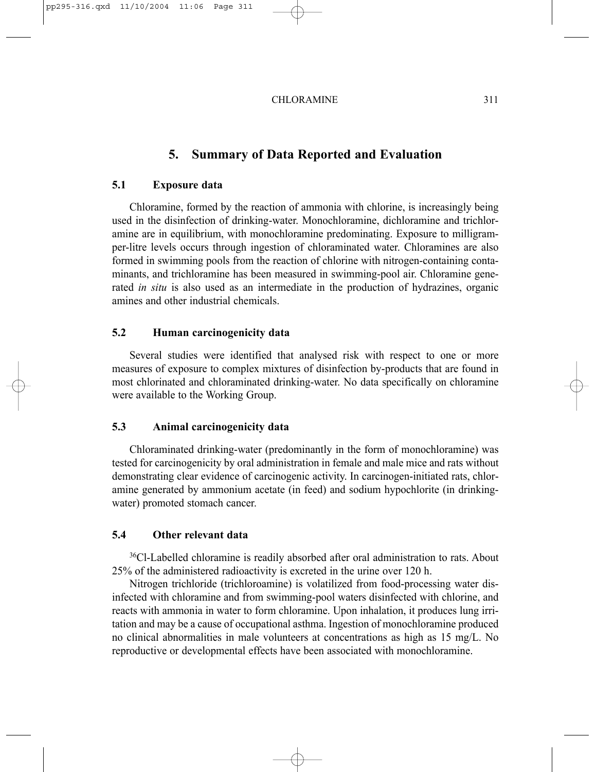# **5. Summary of Data Reported and Evaluation**

## **5.1 Exposure data**

Chloramine, formed by the reaction of ammonia with chlorine, is increasingly being used in the disinfection of drinking-water. Monochloramine, dichloramine and trichloramine are in equilibrium, with monochloramine predominating. Exposure to milligramper-litre levels occurs through ingestion of chloraminated water. Chloramines are also formed in swimming pools from the reaction of chlorine with nitrogen-containing contaminants, and trichloramine has been measured in swimming-pool air. Chloramine generated *in situ* is also used as an intermediate in the production of hydrazines, organic amines and other industrial chemicals.

# **5.2 Human carcinogenicity data**

Several studies were identified that analysed risk with respect to one or more measures of exposure to complex mixtures of disinfection by-products that are found in most chlorinated and chloraminated drinking-water. No data specifically on chloramine were available to the Working Group.

#### **5.3 Animal carcinogenicity data**

Chloraminated drinking-water (predominantly in the form of monochloramine) was tested for carcinogenicity by oral administration in female and male mice and rats without demonstrating clear evidence of carcinogenic activity. In carcinogen-initiated rats, chloramine generated by ammonium acetate (in feed) and sodium hypochlorite (in drinkingwater) promoted stomach cancer.

# **5.4 Other relevant data**

36Cl-Labelled chloramine is readily absorbed after oral administration to rats. About 25% of the administered radioactivity is excreted in the urine over 120 h.

Nitrogen trichloride (trichloroamine) is volatilized from food-processing water disinfected with chloramine and from swimming-pool waters disinfected with chlorine, and reacts with ammonia in water to form chloramine. Upon inhalation, it produces lung irritation and may be a cause of occupational asthma. Ingestion of monochloramine produced no clinical abnormalities in male volunteers at concentrations as high as 15 mg/L. No reproductive or developmental effects have been associated with monochloramine.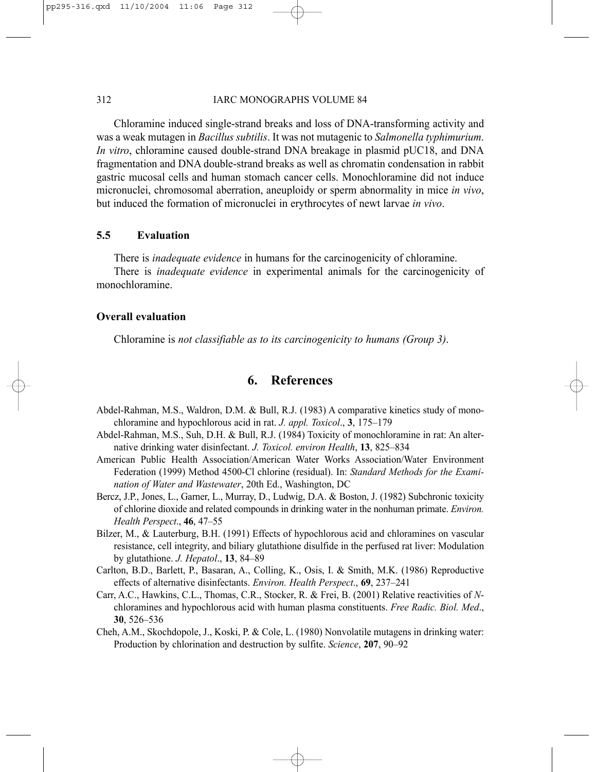Chloramine induced single-strand breaks and loss of DNA-transforming activity and was a weak mutagen in *Bacillus subtilis*. It was not mutagenic to *Salmonella typhimurium*. *In vitro*, chloramine caused double-strand DNA breakage in plasmid pUC18, and DNA fragmentation and DNA double-strand breaks as well as chromatin condensation in rabbit gastric mucosal cells and human stomach cancer cells. Monochloramine did not induce micronuclei, chromosomal aberration, aneuploidy or sperm abnormality in mice *in vivo*, but induced the formation of micronuclei in erythrocytes of newt larvae *in vivo*.

#### **5.5 Evaluation**

There is *inadequate evidence* in humans for the carcinogenicity of chloramine.

There is *inadequate evidence* in experimental animals for the carcinogenicity of monochloramine.

#### **Overall evaluation**

Chloramine is *not classifiable as to its carcinogenicity to humans (Group 3)*.

# **6. References**

- Abdel-Rahman, M.S., Waldron, D.M. & Bull, R.J. (1983) A comparative kinetics study of monochloramine and hypochlorous acid in rat. *J. appl. Toxicol*., **3**, 175–179
- Abdel-Rahman, M.S., Suh, D.H. & Bull, R.J. (1984) Toxicity of monochloramine in rat: An alternative drinking water disinfectant. *J. Toxicol. environ Health*, **13**, 825–834
- American Public Health Association/American Water Works Association/Water Environment Federation (1999) Method 4500-Cl chlorine (residual). In: *Standard Methods for the Examination of Water and Wastewater*, 20th Ed., Washington, DC
- Bercz, J.P., Jones, L., Garner, L., Murray, D., Ludwig, D.A. & Boston, J. (1982) Subchronic toxicity of chlorine dioxide and related compounds in drinking water in the nonhuman primate. *Environ. Health Perspect*., **46**, 47–55
- Bilzer, M., & Lauterburg, B.H. (1991) Effects of hypochlorous acid and chloramines on vascular resistance, cell integrity, and biliary glutathione disulfide in the perfused rat liver: Modulation by glutathione. *J. Hepatol*., **13**, 84–89
- Carlton, B.D., Barlett, P., Basaran, A., Colling, K., Osis, I. & Smith, M.K. (1986) Reproductive effects of alternative disinfectants. *Environ. Health Perspect*., **69**, 237–241
- Carr, A.C., Hawkins, C.L., Thomas, C.R., Stocker, R. & Frei, B. (2001) Relative reactivities of *N*chloramines and hypochlorous acid with human plasma constituents. *Free Radic. Biol. Med*., **30**, 526–536
- Cheh, A.M., Skochdopole, J., Koski, P. & Cole, L. (1980) Nonvolatile mutagens in drinking water: Production by chlorination and destruction by sulfite. *Science*, **207**, 90–92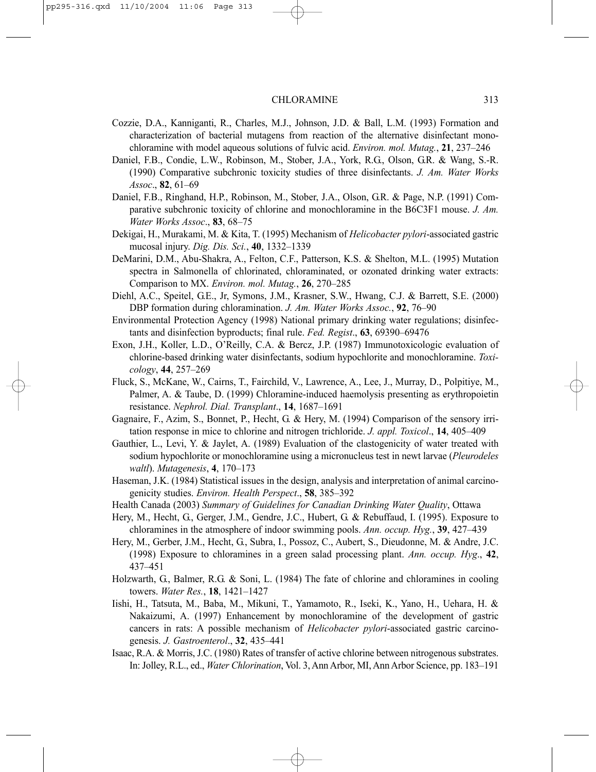- Cozzie, D.A., Kanniganti, R., Charles, M.J., Johnson, J.D. & Ball, L.M. (1993) Formation and characterization of bacterial mutagens from reaction of the alternative disinfectant monochloramine with model aqueous solutions of fulvic acid. *Environ. mol. Mutag.*, **21**, 237–246
- Daniel, F.B., Condie, L.W., Robinson, M., Stober, J.A., York, R.G., Olson, G.R. & Wang, S.-R. (1990) Comparative subchronic toxicity studies of three disinfectants. *J. Am. Water Works Assoc*., **82**, 61–69
- Daniel, F.B., Ringhand, H.P., Robinson, M., Stober, J.A., Olson, G.R. & Page, N.P. (1991) Comparative subchronic toxicity of chlorine and monochloramine in the B6C3F1 mouse. *J. Am. Water Works Assoc*., **83**, 68–75
- Dekigai, H., Murakami, M. & Kita, T. (1995) Mechanism of *Helicobacter pylori*-associated gastric mucosal injury. *Dig. Dis. Sci.*, **40**, 1332–1339
- DeMarini, D.M., Abu-Shakra, A., Felton, C.F., Patterson, K.S. & Shelton, M.L. (1995) Mutation spectra in Salmonella of chlorinated, chloraminated, or ozonated drinking water extracts: Comparison to MX. *Environ. mol. Mutag.*, **26**, 270–285
- Diehl, A.C., Speitel, G.E., Jr, Symons, J.M., Krasner, S.W., Hwang, C.J. & Barrett, S.E. (2000) DBP formation during chloramination. *J. Am. Water Works Assoc.*, **92**, 76–90
- Environmental Protection Agency (1998) National primary drinking water regulations; disinfectants and disinfection byproducts; final rule. *Fed. Regist*., **63**, 69390–69476
- Exon, J.H., Koller, L.D., O'Reilly, C.A. & Bercz, J.P. (1987) Immunotoxicologic evaluation of chlorine-based drinking water disinfectants, sodium hypochlorite and monochloramine. *Toxicology*, **44**, 257–269
- Fluck, S., McKane, W., Cairns, T., Fairchild, V., Lawrence, A., Lee, J., Murray, D., Polpitiye, M., Palmer, A. & Taube, D. (1999) Chloramine-induced haemolysis presenting as erythropoietin resistance. *Nephrol. Dial. Transplant*., **14**, 1687–1691
- Gagnaire, F., Azim, S., Bonnet, P., Hecht, G. & Hery, M. (1994) Comparison of the sensory irritation response in mice to chlorine and nitrogen trichloride. *J. appl. Toxicol*., **14**, 405–409
- Gauthier, L., Levi, Y. & Jaylet, A. (1989) Evaluation of the clastogenicity of water treated with sodium hypochlorite or monochloramine using a micronucleus test in newt larvae (*Pleurodeles waltl*). *Mutagenesis*, **4**, 170–173
- Haseman, J.K. (1984) Statistical issues in the design, analysis and interpretation of animal carcinogenicity studies. *Environ. Health Perspect*., **58**, 385–392
- Health Canada (2003) *Summary of Guidelines for Canadian Drinking Water Quality*, Ottawa
- Hery, M., Hecht, G., Gerger, J.M., Gendre, J.C., Hubert, G. & Rebuffaud, I. (1995). Exposure to chloramines in the atmosphere of indoor swimming pools. *Ann. occup. Hyg.*, **39**, 427–439
- Hery, M., Gerber, J.M., Hecht, G., Subra, I., Possoz, C., Aubert, S., Dieudonne, M. & Andre, J.C. (1998) Exposure to chloramines in a green salad processing plant. *Ann. occup. Hyg*., **42**, 437–451
- Holzwarth, G., Balmer, R.G. & Soni, L. (1984) The fate of chlorine and chloramines in cooling towers. *Water Res.*, **18**, 1421–1427
- Iishi, H., Tatsuta, M., Baba, M., Mikuni, T., Yamamoto, R., Iseki, K., Yano, H., Uehara, H. & Nakaizumi, A. (1997) Enhancement by monochloramine of the development of gastric cancers in rats: A possible mechanism of *Helicobacter pylori*-associated gastric carcinogenesis. *J. Gastroenterol*., **32**, 435–441
- Isaac, R.A. & Morris, J.C. (1980) Rates of transfer of active chlorine between nitrogenous substrates. In: Jolley, R.L., ed., *Water Chlorination*, Vol. 3, Ann Arbor, MI, Ann Arbor Science, pp. 183–191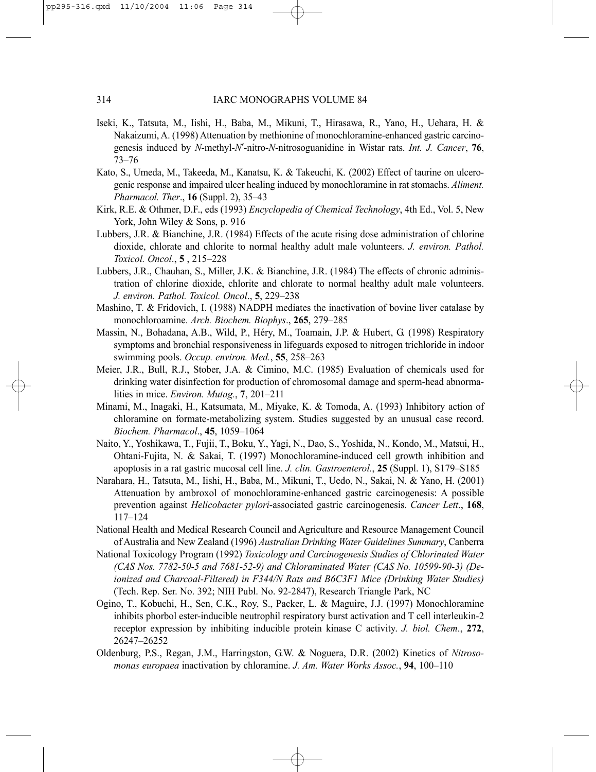- Iseki, K., Tatsuta, M., Iishi, H., Baba, M., Mikuni, T., Hirasawa, R., Yano, H., Uehara, H. & Nakaizumi, A. (1998) Attenuation by methionine of monochloramine-enhanced gastric carcinogenesis induced by *N*-methyl-*N*′-nitro-*N*-nitrosoguanidine in Wistar rats. *Int. J. Cancer*, **76**, 73–76
- Kato, S., Umeda, M., Takeeda, M., Kanatsu, K. & Takeuchi, K. (2002) Effect of taurine on ulcerogenic response and impaired ulcer healing induced by monochloramine in rat stomachs. *Aliment. Pharmacol. Ther*., **16** (Suppl. 2), 35–43
- Kirk, R.E. & Othmer, D.F., eds (1993) *Encyclopedia of Chemical Technology*, 4th Ed., Vol. 5, New York, John Wiley & Sons, p. 916
- Lubbers, J.R. & Bianchine, J.R. (1984) Effects of the acute rising dose administration of chlorine dioxide, chlorate and chlorite to normal healthy adult male volunteers. *J. environ. Pathol. Toxicol. Oncol*., **5** , 215–228
- Lubbers, J.R., Chauhan, S., Miller, J.K. & Bianchine, J.R. (1984) The effects of chronic administration of chlorine dioxide, chlorite and chlorate to normal healthy adult male volunteers. *J. environ. Pathol. Toxicol. Oncol*., **5**, 229–238
- Mashino, T. & Fridovich, I. (1988) NADPH mediates the inactivation of bovine liver catalase by monochloroamine. *Arch. Biochem. Biophys*., **265**, 279–285
- Massin, N., Bohadana, A.B., Wild, P., Héry, M., Toamain, J.P. & Hubert, G. (1998) Respiratory symptoms and bronchial responsiveness in lifeguards exposed to nitrogen trichloride in indoor swimming pools. *Occup. environ. Med.*, **55**, 258–263
- Meier, J.R., Bull, R.J., Stober, J.A. & Cimino, M.C. (1985) Evaluation of chemicals used for drinking water disinfection for production of chromosomal damage and sperm-head abnormalities in mice. *Environ. Mutag.*, **7**, 201–211
- Minami, M., Inagaki, H., Katsumata, M., Miyake, K. & Tomoda, A. (1993) Inhibitory action of chloramine on formate-metabolizing system. Studies suggested by an unusual case record. *Biochem. Pharmacol*., **45**, 1059–1064
- Naito, Y., Yoshikawa, T., Fujii, T., Boku, Y., Yagi, N., Dao, S., Yoshida, N., Kondo, M., Matsui, H., Ohtani-Fujita, N. & Sakai, T. (1997) Monochloramine-induced cell growth inhibition and apoptosis in a rat gastric mucosal cell line. *J. clin. Gastroenterol.*, **25** (Suppl. 1), S179–S185
- Narahara, H., Tatsuta, M., Iishi, H., Baba, M., Mikuni, T., Uedo, N., Sakai, N. & Yano, H. (2001) Attenuation by ambroxol of monochloramine-enhanced gastric carcinogenesis: A possible prevention against *Helicobacter pylori*-associated gastric carcinogenesis. *Cancer Lett*., **168**, 117–124
- National Health and Medical Research Council and Agriculture and Resource Management Council of Australia and New Zealand (1996) *Australian Drinking Water Guidelines Summary*, Canberra
- National Toxicology Program (1992) *Toxicology and Carcinogenesis Studies of Chlorinated Water (CAS Nos. 7782-50-5 and 7681-52-9) and Chloraminated Water (CAS No. 10599-90-3) (Deionized and Charcoal-Filtered) in F344/N Rats and B6C3F1 Mice (Drinking Water Studies)* (Tech. Rep. Ser. No. 392; NIH Publ. No. 92-2847), Research Triangle Park, NC
- Ogino, T., Kobuchi, H., Sen, C.K., Roy, S., Packer, L. & Maguire, J.J. (1997) Monochloramine inhibits phorbol ester-inducible neutrophil respiratory burst activation and T cell interleukin-2 receptor expression by inhibiting inducible protein kinase C activity. *J. biol. Chem*., **272**, 26247–26252
- Oldenburg, P.S., Regan, J.M., Harringston, G.W. & Noguera, D.R. (2002) Kinetics of *Nitrosomonas europaea* inactivation by chloramine. *J. Am. Water Works Assoc.*, **94**, 100–110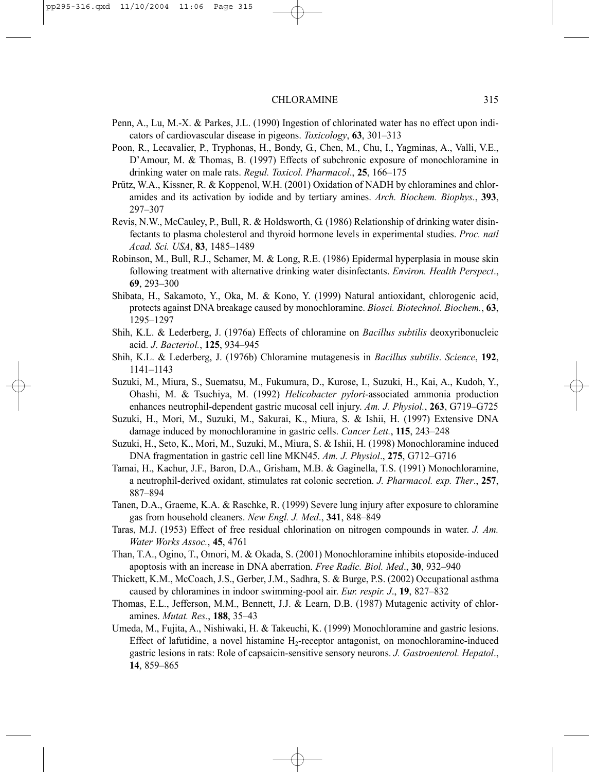- Penn, A., Lu, M.-X. & Parkes, J.L. (1990) Ingestion of chlorinated water has no effect upon indicators of cardiovascular disease in pigeons. *Toxicology*, **63**, 301–313
- Poon, R., Lecavalier, P., Tryphonas, H., Bondy, G., Chen, M., Chu, I., Yagminas, A., Valli, V.E., D'Amour, M. & Thomas, B. (1997) Effects of subchronic exposure of monochloramine in drinking water on male rats. *Regul. Toxicol. Pharmacol*., **25**, 166–175
- Prütz, W.A., Kissner, R. & Koppenol, W.H. (2001) Oxidation of NADH by chloramines and chloramides and its activation by iodide and by tertiary amines. *Arch. Biochem. Biophys.*, **393**, 297–307
- Revis, N.W., McCauley, P., Bull, R. & Holdsworth, G. (1986) Relationship of drinking water disinfectants to plasma cholesterol and thyroid hormone levels in experimental studies. *Proc. natl Acad. Sci. USA*, **83**, 1485–1489
- Robinson, M., Bull, R.J., Schamer, M. & Long, R.E. (1986) Epidermal hyperplasia in mouse skin following treatment with alternative drinking water disinfectants. *Environ. Health Perspect*., **69**, 293–300
- Shibata, H., Sakamoto, Y., Oka, M. & Kono, Y. (1999) Natural antioxidant, chlorogenic acid, protects against DNA breakage caused by monochloramine. *Biosci. Biotechnol. Biochem.*, **63**, 1295–1297
- Shih, K.L. & Lederberg, J. (1976a) Effects of chloramine on *Bacillus subtilis* deoxyribonucleic acid. *J*. *Bacteriol.*, **125**, 934–945
- Shih, K.L. & Lederberg, J. (1976b) Chloramine mutagenesis in *Bacillus subtilis*. *Science*, **192**, 1141–1143
- Suzuki, M., Miura, S., Suematsu, M., Fukumura, D., Kurose, I., Suzuki, H., Kai, A., Kudoh, Y., Ohashi, M. & Tsuchiya, M. (1992) *Helicobacter pylori*-associated ammonia production enhances neutrophil-dependent gastric mucosal cell injury. *Am. J. Physiol.*, **263**, G719–G725
- Suzuki, H., Mori, M., Suzuki, M., Sakurai, K., Miura, S. & Ishii, H. (1997) Extensive DNA damage induced by monochloramine in gastric cells. *Cancer Lett.*, **115**, 243–248
- Suzuki, H., Seto, K., Mori, M., Suzuki, M., Miura, S. & Ishii, H. (1998) Monochloramine induced DNA fragmentation in gastric cell line MKN45. *Am. J. Physiol*., **275**, G712–G716
- Tamai, H., Kachur, J.F., Baron, D.A., Grisham, M.B. & Gaginella, T.S. (1991) Monochloramine, a neutrophil-derived oxidant, stimulates rat colonic secretion. *J. Pharmacol. exp. Ther*., **257**, 887–894
- Tanen, D.A., Graeme, K.A. & Raschke, R. (1999) Severe lung injury after exposure to chloramine gas from household cleaners. *New Engl. J. Med*., **341**, 848–849
- Taras, M.J. (1953) Effect of free residual chlorination on nitrogen compounds in water. *J. Am. Water Works Assoc.*, **45**, 4761
- Than, T.A., Ogino, T., Omori, M. & Okada, S. (2001) Monochloramine inhibits etoposide-induced apoptosis with an increase in DNA aberration. *Free Radic. Biol. Med*., **30**, 932–940
- Thickett, K.M., McCoach, J.S., Gerber, J.M., Sadhra, S. & Burge, P.S. (2002) Occupational asthma caused by chloramines in indoor swimming-pool air. *Eur. respir. J*., **19**, 827–832
- Thomas, E.L., Jefferson, M.M., Bennett, J.J. & Learn, D.B. (1987) Mutagenic activity of chloramines. *Mutat. Res.*, **188**, 35–43
- Umeda, M., Fujita, A., Nishiwaki, H. & Takeuchi, K. (1999) Monochloramine and gastric lesions. Effect of lafutidine, a novel histamine  $H_2$ -receptor antagonist, on monochloramine-induced gastric lesions in rats: Role of capsaicin-sensitive sensory neurons. *J. Gastroenterol. Hepatol*., **14**, 859–865